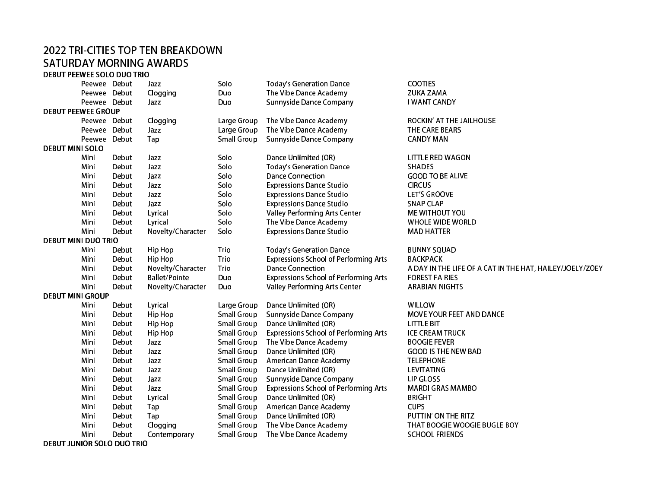## 2022 TRI-CITIES TOP TEN BREAKDOWNSATURDAY MORNING AWARDS

DEBUT PEEWEE SOLO DUO TRIO

|                            | Peewee Debut |       | Jazz                 | Solo               | <b>Today's Generation Dance</b>              | COOTIES                                                  |  |
|----------------------------|--------------|-------|----------------------|--------------------|----------------------------------------------|----------------------------------------------------------|--|
|                            | Peewee Debut |       | Clogging             | Duo                | The Vibe Dance Academy                       | <b>ZUKA ZAMA</b>                                         |  |
|                            | Peewee Debut |       | Jazz                 | Duo                | <b>Sunnyside Dance Company</b>               | I WANT CANDY                                             |  |
| <b>DEBUT PEEWEE GROUP</b>  |              |       |                      |                    |                                              |                                                          |  |
|                            | Peewee Debut |       | Clogging             | Large Group        | The Vibe Dance Academy                       | ROCKIN' AT THE JAILHOUSE                                 |  |
|                            | Peewee Debut |       | Jazz                 | Large Group        | The Vibe Dance Academy                       | THE CARE BEARS                                           |  |
|                            | Peewee Debut |       | Tap                  | <b>Small Group</b> | <b>Sunnyside Dance Company</b>               | <b>CANDY MAN</b>                                         |  |
| <b>DEBUT MINI SOLO</b>     |              |       |                      |                    |                                              |                                                          |  |
|                            | Mini         | Debut | Jazz                 | Solo               | Dance Unlimited (OR)                         | LITTLE RED WAGON                                         |  |
|                            | Mini         | Debut | Jazz                 | Solo               | <b>Today's Generation Dance</b>              | <b>SHADES</b>                                            |  |
|                            | Mini         | Debut | Jazz                 | Solo               | <b>Dance Connection</b>                      | <b>GOOD TO BE ALIVE</b>                                  |  |
|                            | Mini         | Debut | Jazz                 | Solo               | <b>Expressions Dance Studio</b>              | <b>CIRCUS</b>                                            |  |
|                            | Mini         | Debut | Jazz                 | Solo               | <b>Expressions Dance Studio</b>              | <b>LET'S GROOVE</b>                                      |  |
|                            | Mini         | Debut | Jazz                 | Solo               | <b>Expressions Dance Studio</b>              | <b>SNAP CLAP</b>                                         |  |
|                            | Mini         | Debut | Lyrical              | Solo               | <b>Valley Performing Arts Center</b>         | <b>ME WITHOUT YOU</b>                                    |  |
|                            | Mini         | Debut | Lyrical              | Solo               | The Vibe Dance Academy                       | WHOLE WIDE WORLD                                         |  |
|                            | Mini         | Debut | Novelty/Character    | Solo               | <b>Expressions Dance Studio</b>              | <b>MAD HATTER</b>                                        |  |
| <b>DEBUT MINI DUO TRIO</b> |              |       |                      |                    |                                              |                                                          |  |
|                            | Mini         | Debut | Hip Hop              | Trio               | <b>Today's Generation Dance</b>              | <b>BUNNY SQUAD</b>                                       |  |
|                            | Mini         | Debut | Hip Hop              | Trio               | <b>Expressions School of Performing Arts</b> | <b>BACKPACK</b>                                          |  |
|                            | Mini         | Debut | Novelty/Character    | Trio               | <b>Dance Connection</b>                      | A DAY IN THE LIFE OF A CAT IN THE HAT, HAILEY/JOELY/ZOEY |  |
|                            | Mini         | Debut | <b>Ballet/Pointe</b> | Duo                | <b>Expressions School of Performing Arts</b> | <b>FOREST FAIRIES</b>                                    |  |
|                            | Mini         | Debut | Novelty/Character    | Duo                | <b>Valley Performing Arts Center</b>         | <b>ARABIAN NIGHTS</b>                                    |  |
| <b>DEBUT MINI GROUP</b>    |              |       |                      |                    |                                              |                                                          |  |
|                            | Mini         | Debut | Lyrical              | Large Group        | Dance Unlimited (OR)                         | WILLOW                                                   |  |
|                            | Mini         | Debut | Hip Hop              | <b>Small Group</b> | <b>Sunnyside Dance Company</b>               | MOVE YOUR FEET AND DANCE                                 |  |
|                            | Mini         | Debut | Hip Hop              | <b>Small Group</b> | Dance Unlimited (OR)                         | LITTLE BIT                                               |  |
|                            | Mini         | Debut | Hip Hop              | <b>Small Group</b> | <b>Expressions School of Performing Arts</b> | <b>ICE CREAM TRUCK</b>                                   |  |
|                            | Mini         | Debut | Jazz                 | <b>Small Group</b> | The Vibe Dance Academy                       | <b>BOOGIE FEVER</b>                                      |  |
|                            | Mini         | Debut | Jazz                 | <b>Small Group</b> | Dance Unlimited (OR)                         | <b>GOOD IS THE NEW BAD</b>                               |  |
|                            | Mini         | Debut | Jazz                 | <b>Small Group</b> | <b>American Dance Academy</b>                | <b>TELEPHONE</b>                                         |  |
|                            | Mini         | Debut | Jazz                 | <b>Small Group</b> | Dance Unlimited (OR)                         | <b>LEVITATING</b>                                        |  |
|                            | Mini         | Debut | Jazz                 | <b>Small Group</b> | <b>Sunnyside Dance Company</b>               | LIP GLOSS                                                |  |
|                            | Mini         | Debut | Jazz                 | <b>Small Group</b> | <b>Expressions School of Performing Arts</b> | <b>MARDI GRAS MAMBO</b>                                  |  |
|                            | Mini         | Debut | Lyrical              | <b>Small Group</b> | Dance Unlimited (OR)                         | <b>BRIGHT</b>                                            |  |
|                            | Mini         | Debut | Tap                  | <b>Small Group</b> | <b>American Dance Academy</b>                | <b>CUPS</b>                                              |  |
|                            | Mini         | Debut | Tap                  | <b>Small Group</b> | Dance Unlimited (OR)                         | PUTTIN' ON THE RITZ                                      |  |
|                            | Mini         | Debut | Clogging             | <b>Small Group</b> | The Vibe Dance Academy                       | THAT BOOGIE WOOGIE BUGLE BOY                             |  |
|                            | Mini         | Debut | Contemporary         | <b>Small Group</b> | The Vibe Dance Academy                       | <b>SCHOOL FRIENDS</b>                                    |  |

DEBUT JUNIOR SOLO DUO TRIO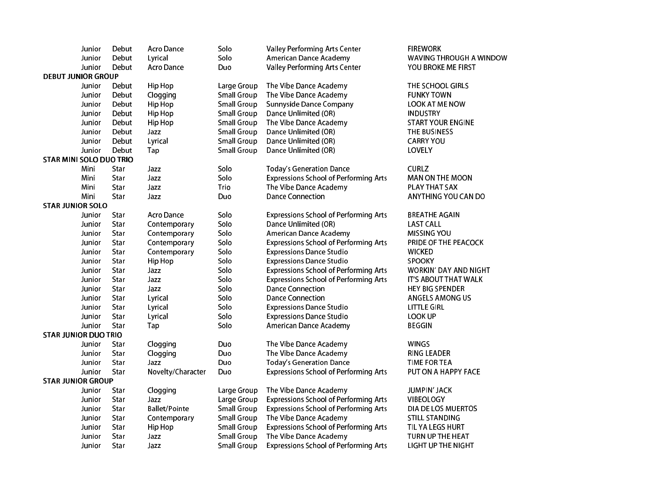| Junior                         | Debut | <b>Acro Dance</b>    | Solo               | <b>Valley Performing Arts Center</b>         | <b>FIREWORK</b>              |  |  |  |
|--------------------------------|-------|----------------------|--------------------|----------------------------------------------|------------------------------|--|--|--|
| Junior                         | Debut | Lyrical              | Solo               | American Dance Academy                       | WAVING THROUGH A WINDOW      |  |  |  |
| Junior                         | Debut | <b>Acro Dance</b>    | Duo                | <b>Valley Performing Arts Center</b>         | YOU BROKE ME FIRST           |  |  |  |
| <b>DEBUT JUNIOR GROUP</b>      |       |                      |                    |                                              |                              |  |  |  |
| Junior                         | Debut | Hip Hop              | Large Group        | The Vibe Dance Academy                       | THE SCHOOL GIRLS             |  |  |  |
| Junior                         | Debut | Clogging             | <b>Small Group</b> | The Vibe Dance Academy                       | <b>FUNKY TOWN</b>            |  |  |  |
| Junior                         | Debut | <b>Hip Hop</b>       | <b>Small Group</b> | <b>Sunnyside Dance Company</b>               | <b>LOOK AT ME NOW</b>        |  |  |  |
| Junior                         | Debut | <b>Hip Hop</b>       | <b>Small Group</b> | Dance Unlimited (OR)                         | <b>INDUSTRY</b>              |  |  |  |
| Junior                         | Debut | Hip Hop              | <b>Small Group</b> | The Vibe Dance Academy                       | <b>START YOUR ENGINE</b>     |  |  |  |
| Junior                         | Debut | Jazz                 | <b>Small Group</b> | Dance Unlimited (OR)                         | THE BUSINESS                 |  |  |  |
| Junior                         | Debut | Lyrical              | <b>Small Group</b> | Dance Unlimited (OR)                         | <b>CARRY YOU</b>             |  |  |  |
| Junior                         | Debut | Tap                  | <b>Small Group</b> | Dance Unlimited (OR)                         | LOVELY                       |  |  |  |
| <b>STAR MINI SOLO DUO TRIO</b> |       |                      |                    |                                              |                              |  |  |  |
| Mini                           | Star  | Jazz                 | Solo               | <b>Today's Generation Dance</b>              | <b>CURLZ</b>                 |  |  |  |
| Mini                           | Star  | Jazz                 | Solo               | <b>Expressions School of Performing Arts</b> | <b>MAN ON THE MOON</b>       |  |  |  |
| Mini                           | Star  | Jazz                 | Trio               | The Vibe Dance Academy                       | PLAY THAT SAX                |  |  |  |
| Mini                           | Star  | Jazz                 | Duo                | <b>Dance Connection</b>                      | ANYTHING YOU CAN DO          |  |  |  |
| <b>STAR JUNIOR SOLO</b>        |       |                      |                    |                                              |                              |  |  |  |
| Junior                         | Star  | Acro Dance           | Solo               | <b>Expressions School of Performing Arts</b> | <b>BREATHE AGAIN</b>         |  |  |  |
| Junior                         | Star  | Contemporary         | Solo               | Dance Unlimited (OR)                         | <b>LAST CALL</b>             |  |  |  |
| Junior                         | Star  | Contemporary         | Solo               | American Dance Academy                       | MISSING YOU                  |  |  |  |
| Junior                         | Star  | Contemporary         | Solo               | <b>Expressions School of Performing Arts</b> | PRIDE OF THE PEACOCK         |  |  |  |
| Junior                         | Star  | Contemporary         | Solo               | <b>Expressions Dance Studio</b>              | <b>WICKED</b>                |  |  |  |
| Junior                         | Star  | Hip Hop              | Solo               | <b>Expressions Dance Studio</b>              | SPOOKY                       |  |  |  |
| Junior                         | Star  | Jazz                 | Solo               | <b>Expressions School of Performing Arts</b> | <b>WORKIN' DAY AND NIGHT</b> |  |  |  |
| Junior                         | Star  | Jazz                 | Solo               | <b>Expressions School of Performing Arts</b> | IT'S ABOUT THAT WALK         |  |  |  |
| Junior                         | Star  | Jazz                 | Solo               | <b>Dance Connection</b>                      | <b>HEY BIG SPENDER</b>       |  |  |  |
| Junior                         | Star  | Lyrical              | Solo               | <b>Dance Connection</b>                      | ANGELS AMONG US              |  |  |  |
| Junior                         | Star  | Lyrical              | Solo               | <b>Expressions Dance Studio</b>              | LITTLE GIRL                  |  |  |  |
| Junior                         | Star  | Lyrical              | Solo               | <b>Expressions Dance Studio</b>              | LOOK UP                      |  |  |  |
| Junior                         | Star  | Tap                  | Solo               | <b>American Dance Academy</b>                | <b>BEGGIN</b>                |  |  |  |
| <b>STAR JUNIOR DUO TRIO</b>    |       |                      |                    |                                              |                              |  |  |  |
| Junior                         | Star  | Clogging             | Duo                | The Vibe Dance Academy                       | WINGS                        |  |  |  |
| Junior                         | Star  | Clogging             | Duo                | The Vibe Dance Academy                       | <b>RING LEADER</b>           |  |  |  |
| Junior                         | Star  | Jazz                 | Duo                | <b>Today's Generation Dance</b>              | <b>TIME FOR TEA</b>          |  |  |  |
| Junior                         | Star  | Novelty/Character    | Duo                | <b>Expressions School of Performing Arts</b> | PUT ON A HAPPY FACE          |  |  |  |
| <b>STAR JUNIOR GROUP</b>       |       |                      |                    |                                              |                              |  |  |  |
| Junior                         | Star  | Clogging             | Large Group        | The Vibe Dance Academy                       | <b>JUMPIN' JACK</b>          |  |  |  |
| Junior                         | Star  | Jazz                 | Large Group        | <b>Expressions School of Performing Arts</b> | VIBEOLOGY                    |  |  |  |
| Junior                         | Star  | <b>Ballet/Pointe</b> | <b>Small Group</b> | <b>Expressions School of Performing Arts</b> | DIA DE LOS MUERTOS           |  |  |  |
| Junior                         | Star  | Contemporary         | <b>Small Group</b> | The Vibe Dance Academy                       | <b>STILL STANDING</b>        |  |  |  |
| Junior                         | Star  | Hip Hop              | <b>Small Group</b> | <b>Expressions School of Performing Arts</b> | TIL YA LEGS HURT             |  |  |  |
| Junior                         | Star  | Jazz                 | <b>Small Group</b> | The Vibe Dance Academy                       | TURN UP THE HEAT             |  |  |  |
| Junior                         | Star  | Jazz                 | <b>Small Group</b> | <b>Expressions School of Performing Arts</b> | LIGHT UP THE NIGHT           |  |  |  |
|                                |       |                      |                    |                                              |                              |  |  |  |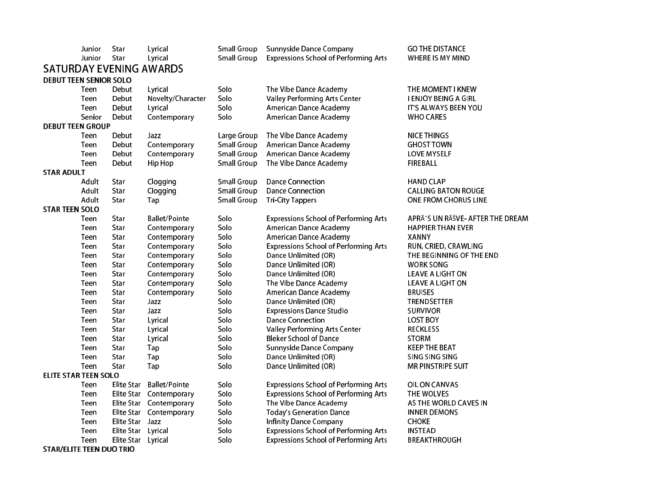|                       | Junior                          | Star               | Lyrical                        | <b>Small Group</b> | <b>Sunnyside Dance Company</b>               | <b>GO THE DISTANCE</b>          |
|-----------------------|---------------------------------|--------------------|--------------------------------|--------------------|----------------------------------------------|---------------------------------|
|                       | Junior                          | Star               | Lyrical                        | <b>Small Group</b> | <b>Expressions School of Performing Arts</b> | WHERE IS MY MIND                |
|                       |                                 |                    | <b>SATURDAY EVENING AWARDS</b> |                    |                                              |                                 |
|                       | <b>DEBUT TEEN SENIOR SOLO</b>   |                    |                                |                    |                                              |                                 |
|                       | Teen                            | Debut              | Lyrical                        | Solo               | The Vibe Dance Academy                       | THE MOMENT I KNEW               |
|                       | Teen                            | Debut              | Novelty/Character              | Solo               | <b>Valley Performing Arts Center</b>         | I ENJOY BEING A GIRL            |
|                       | Teen                            | Debut              | Lyrical                        | Solo               | American Dance Academy                       | IT'S ALWAYS BEEN YOU            |
|                       | Senior                          | Debut              | Contemporary                   | Solo               | American Dance Academy                       | <b>WHO CARES</b>                |
|                       | <b>DEBUT TEEN GROUP</b>         |                    |                                |                    |                                              |                                 |
|                       | Teen                            | Debut              | Jazz                           | Large Group        | The Vibe Dance Academy                       | <b>NICE THINGS</b>              |
|                       | Teen                            | Debut              | Contemporary                   | <b>Small Group</b> | American Dance Academy                       | <b>GHOST TOWN</b>               |
|                       | Teen                            | Debut              | Contemporary                   | <b>Small Group</b> | American Dance Academy                       | <b>LOVE MYSELF</b>              |
|                       | Teen                            | Debut              | Hip Hop                        | <b>Small Group</b> | The Vibe Dance Academy                       | FIREBALL                        |
| <b>STAR ADULT</b>     |                                 |                    |                                |                    |                                              |                                 |
|                       | Adult                           | Star               | Clogging                       | <b>Small Group</b> | <b>Dance Connection</b>                      | <b>HAND CLAP</b>                |
|                       | Adult                           | Star               | Clogging                       | <b>Small Group</b> | <b>Dance Connection</b>                      | <b>CALLING BATON ROUGE</b>      |
|                       | Adult                           | Star               | Tap                            | <b>Small Group</b> | <b>Tri-City Tappers</b>                      | ONE FROM CHORUS LINE            |
| <b>STAR TEEN SOLO</b> |                                 |                    |                                |                    |                                              |                                 |
|                       | Teen                            | Star               | <b>Ballet/Pointe</b>           | Solo               | <b>Expressions School of Performing Arts</b> | APRÃ^S UN RÊVE- AFTER THE DREAM |
|                       | Teen                            | Star               | Contemporary                   | Solo               | American Dance Academy                       | <b>HAPPIER THAN EVER</b>        |
|                       | Teen                            | Star               | Contemporary                   | Solo               | American Dance Academy                       | <b>XANNY</b>                    |
|                       | Teen                            | Star               | Contemporary                   | Solo               | <b>Expressions School of Performing Arts</b> | RUN, CRIED, CRAWLING            |
|                       | Teen                            | Star               | Contemporary                   | Solo               | Dance Unlimited (OR)                         | THE BEGINNING OF THE END        |
|                       | Teen                            | Star               | Contemporary                   | Solo               | Dance Unlimited (OR)                         | <b>WORK SONG</b>                |
|                       | Teen                            | Star               | Contemporary                   | Solo               | Dance Unlimited (OR)                         | LEAVE A LIGHT ON                |
|                       | Teen                            | Star               | Contemporary                   | Solo               | The Vibe Dance Academy                       | LEAVE A LIGHT ON                |
|                       | Teen                            | Star               | Contemporary                   | Solo               | American Dance Academy                       | <b>BRUISES</b>                  |
|                       | Teen                            | Star               | Jazz                           | Solo               | Dance Unlimited (OR)                         | <b>TRENDSETTER</b>              |
|                       | Teen                            | Star               | Jazz                           | Solo               | <b>Expressions Dance Studio</b>              | <b>SURVIVOR</b>                 |
|                       | Teen                            | Star               | Lyrical                        | Solo               | <b>Dance Connection</b>                      | <b>LOST BOY</b>                 |
|                       | Teen                            | Star               | Lyrical                        | Solo               | <b>Valley Performing Arts Center</b>         | <b>RECKLESS</b>                 |
|                       | Teen                            | Star               | Lyrical                        | Solo               | <b>Bleker School of Dance</b>                | <b>STORM</b>                    |
|                       | Teen                            | Star               | Tap                            | Solo               | <b>Sunnyside Dance Company</b>               | <b>KEEP THE BEAT</b>            |
|                       | Teen                            | Star               | Tap                            | Solo               | Dance Unlimited (OR)                         | SING SING SING                  |
|                       | Teen                            | Star               | Tap                            | Solo               | Dance Unlimited (OR)                         | MR PINSTRIPE SUIT               |
|                       | <b>ELITE STAR TEEN SOLO</b>     |                    |                                |                    |                                              |                                 |
|                       | Teen                            | Elite Star         | <b>Ballet/Pointe</b>           | Solo               | <b>Expressions School of Performing Arts</b> | OIL ON CANVAS                   |
|                       | Teen                            |                    | Elite Star Contemporary        | Solo               | <b>Expressions School of Performing Arts</b> | THE WOLVES                      |
|                       | Teen                            |                    | Elite Star Contemporary        | Solo               | The Vibe Dance Academy                       | AS THE WORLD CAVES IN           |
|                       | Teen                            |                    | Elite Star Contemporary        | Solo               | <b>Today's Generation Dance</b>              | <b>INNER DEMONS</b>             |
|                       | Teen                            | Elite Star Jazz    |                                | Solo               | <b>Infinity Dance Company</b>                | <b>CHOKE</b>                    |
|                       | Teen                            | Elite Star Lyrical |                                | Solo               | <b>Expressions School of Performing Arts</b> | <b>INSTEAD</b>                  |
|                       | Teen                            | Elite Star Lyrical |                                | Solo               | <b>Expressions School of Performing Arts</b> | <b>BREAKTHROUGH</b>             |
|                       | <b>STAR/ELITE TEEN DUO TRIO</b> |                    |                                |                    |                                              |                                 |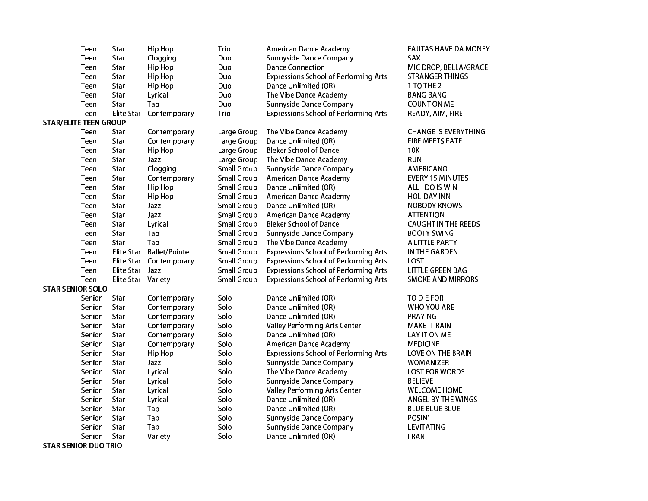|                              | Teen   | Star               | <b>Hip Hop</b>          | Trio               | American Dance Academy                       | <b>FAJITAS HAVE DA MONEY</b> |
|------------------------------|--------|--------------------|-------------------------|--------------------|----------------------------------------------|------------------------------|
|                              | Teen   | Star               | Clogging                | Duo                | <b>Sunnyside Dance Company</b>               | <b>SAX</b>                   |
|                              | Teen   | Star               | Hip Hop                 | Duo                | <b>Dance Connection</b>                      | MIC DROP, BELLA/GRACE        |
|                              | Teen   | Star               | Hip Hop                 | Duo                | <b>Expressions School of Performing Arts</b> | <b>STRANGER THINGS</b>       |
|                              | Teen   | Star               | Hip Hop                 | Duo                | Dance Unlimited (OR)                         | 1 TO THE 2                   |
|                              | Teen   | Star               | Lyrical                 | Duo                | The Vibe Dance Academy                       | <b>BANG BANG</b>             |
|                              | Teen   | Star               | Tap                     | Duo                | <b>Sunnyside Dance Company</b>               | <b>COUNT ON ME</b>           |
|                              | Teen   | Elite Star         | Contemporary            | Trio               | <b>Expressions School of Performing Arts</b> | READY, AIM, FIRE             |
| <b>STAR/ELITE TEEN GROUP</b> |        |                    |                         |                    |                                              |                              |
|                              | Teen   | Star               | Contemporary            | Large Group        | The Vibe Dance Academy                       | <b>CHANGE IS EVERYTHING</b>  |
|                              | Teen   | Star               | Contemporary            | Large Group        | Dance Unlimited (OR)                         | <b>FIRE MEETS FATE</b>       |
|                              | Teen   | Star               | Hip Hop                 | Large Group        | <b>Bleker School of Dance</b>                | 10K                          |
|                              | Teen   | Star               | Jazz                    | Large Group        | The Vibe Dance Academy                       | <b>RUN</b>                   |
|                              | Teen   | Star               | Clogging                | <b>Small Group</b> | <b>Sunnyside Dance Company</b>               | AMERICANO                    |
|                              | Teen   | Star               | Contemporary            | <b>Small Group</b> | American Dance Academy                       | <b>EVERY 15 MINUTES</b>      |
|                              | Teen   | Star               | Hip Hop                 | <b>Small Group</b> | Dance Unlimited (OR)                         | ALL I DO IS WIN              |
|                              | Teen   | Star               | Hip Hop                 | <b>Small Group</b> | American Dance Academy                       | <b>HOLIDAY INN</b>           |
|                              | Teen   | Star               | Jazz                    | <b>Small Group</b> | Dance Unlimited (OR)                         | <b>NOBODY KNOWS</b>          |
|                              | Teen   | Star               | Jazz                    | <b>Small Group</b> | American Dance Academy                       | <b>ATTENTION</b>             |
|                              | Teen   | Star               | Lyrical                 | <b>Small Group</b> | <b>Bleker School of Dance</b>                | <b>CAUGHT IN THE REEDS</b>   |
|                              | Teen   | Star               | Tap                     | <b>Small Group</b> | <b>Sunnyside Dance Company</b>               | <b>BOOTY SWING</b>           |
|                              | Teen   | Star               | Tap                     | <b>Small Group</b> | The Vibe Dance Academy                       | A LITTLE PARTY               |
|                              | Teen   | Elite Star         | <b>Ballet/Pointe</b>    | <b>Small Group</b> | <b>Expressions School of Performing Arts</b> | IN THE GARDEN                |
|                              | Teen   |                    | Elite Star Contemporary | <b>Small Group</b> | <b>Expressions School of Performing Arts</b> | LOST                         |
|                              | Teen   | Elite Star         | Jazz                    | <b>Small Group</b> | <b>Expressions School of Performing Arts</b> | <b>LITTLE GREEN BAG</b>      |
|                              | Teen   | Elite Star Variety |                         | <b>Small Group</b> | <b>Expressions School of Performing Arts</b> | <b>SMOKE AND MIRRORS</b>     |
| <b>STAR SENIOR SOLO</b>      |        |                    |                         |                    |                                              |                              |
|                              | Senior | Star               | Contemporary            | Solo               | Dance Unlimited (OR)                         | TO DIE FOR                   |
|                              | Senior | Star               | Contemporary            | Solo               | Dance Unlimited (OR)                         | <b>WHO YOU ARE</b>           |
|                              | Senior | Star               | Contemporary            | Solo               | Dance Unlimited (OR)                         | PRAYING                      |
|                              | Senior | Star               | Contemporary            | Solo               | <b>Valley Performing Arts Center</b>         | <b>MAKE IT RAIN</b>          |
|                              | Senior | Star               | Contemporary            | Solo               | Dance Unlimited (OR)                         | LAY IT ON ME                 |
|                              | Senior | Star               | Contemporary            | Solo               | American Dance Academy                       | <b>MEDICINE</b>              |
|                              | Senior | Star               | Hip Hop                 | Solo               | <b>Expressions School of Performing Arts</b> | LOVE ON THE BRAIN            |
|                              | Senior | Star               | Jazz                    | Solo               | <b>Sunnyside Dance Company</b>               | <b>WOMANIZER</b>             |
|                              | Senior | Star               | Lyrical                 | Solo               | The Vibe Dance Academy                       | <b>LOST FOR WORDS</b>        |
|                              | Senior | Star               | Lyrical                 | Solo               | <b>Sunnyside Dance Company</b>               | <b>BELIEVE</b>               |
|                              | Senior | Star               | Lyrical                 | Solo               | <b>Valley Performing Arts Center</b>         | <b>WELCOME HOME</b>          |
|                              | Senior | Star               | Lyrical                 | Solo               | Dance Unlimited (OR)                         | ANGEL BY THE WINGS           |
|                              | Senior | Star               | Tap                     | Solo               | Dance Unlimited (OR)                         | <b>BLUE BLUE BLUE</b>        |
|                              | Senior | Star               | Tap                     | Solo               | <b>Sunnyside Dance Company</b>               | POSIN'                       |
|                              | Senior | Star               | Tap                     | Solo               | <b>Sunnyside Dance Company</b>               | LEVITATING                   |
|                              | Senior | Star               | Variety                 | Solo               | Dance Unlimited (OR)                         | <b>IRAN</b>                  |

STAR SENIOR DUO TRIO